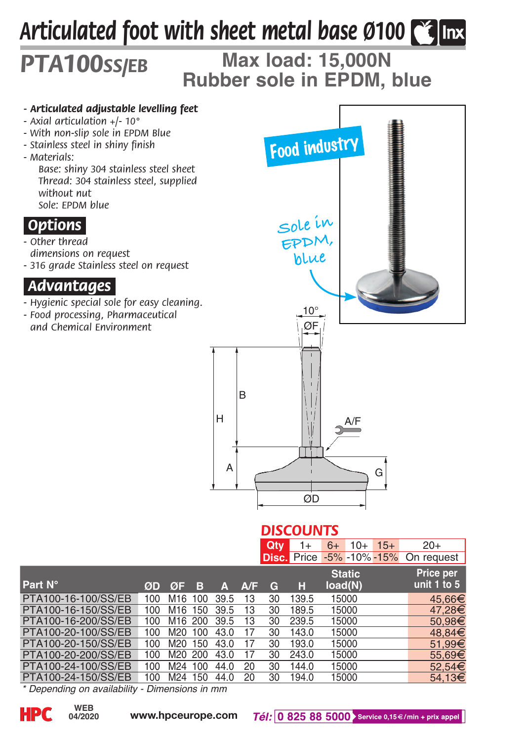# *Articulated foot with sheet metal base Ø100*

## **Max load: 15,000N Rubber sole in EPDM, blue** *PTA100ss/eb*

#### *- Articulated adjustable levelling feet*

- *Axial articulation +/- 10°*
- *With non-slip sole in EPDM Blue*
- *Stainless steel in shiny finish*
- *Materials:*

*Base: shiny 304 stainless steel sheet Thread: 304 stainless steel, supplied without nut Sole: EPDM blue*

## *.Options.*

- *Other thread dimensions on request*
- *316 grade Stainless steel on request*

## *.Advantages.*

- *Hygienic special sole for easy cleaning.*
- *Food processing, Pharmaceutical and Chemical Environment*



#### *DISCOUNTS*

| $Qty$ 1+ 6+ 10+ 15+ |  | $20+$                                |  |  |
|---------------------|--|--------------------------------------|--|--|
|                     |  | Disc. Price -5% -10% -15% On request |  |  |

| Part N°             | ØD  | ØF                  | B   | Δ    | A/F | c. | н     | <b>Static</b><br>load(N) | Price per<br>unit 1 to 5 |
|---------------------|-----|---------------------|-----|------|-----|----|-------|--------------------------|--------------------------|
| PTA100-16-100/SS/EB | 100 | M16                 | 100 | 39.5 | 13  | 30 | 139.5 | 15000                    | 45.66€                   |
| PTA100-16-150/SS/EB | 100 | M <sub>16</sub> 150 |     | 39.5 | 13  | 30 | 189.5 | 15000                    | 47.28€                   |
| PTA100-16-200/SS/EB | 100 | M16 200             |     | 39.5 | 13  | 30 | 239.5 | 15000                    | 50.98€                   |
| PTA100-20-100/SS/EB | 100 | M20                 | 100 | 43.0 | 17  | 30 | 143.0 | 15000                    | 48.84€                   |
| PTA100-20-150/SS/EB | 100 | M20                 | 150 | 43.0 | 17  | 30 | 193.0 | 15000                    | 51.99€                   |
| PTA100-20-200/SS/EB | 100 | M20 200             |     | 43.0 | 17  | 30 | 243.0 | 15000                    | 55,69€                   |
| PTA100-24-100/SS/EB | 100 | M <sub>24</sub>     | 100 | 44.0 | 20  | 30 | 144.0 | 15000                    | 52.54€                   |
| PTA100-24-150/SS/EB | 100 | M <sub>24</sub>     | 150 | 44.0 | 20  | 30 | 194.0 | 15000                    | 54.13€                   |

*\* Depending on availability - Dimensions in mm*

**04/2020**